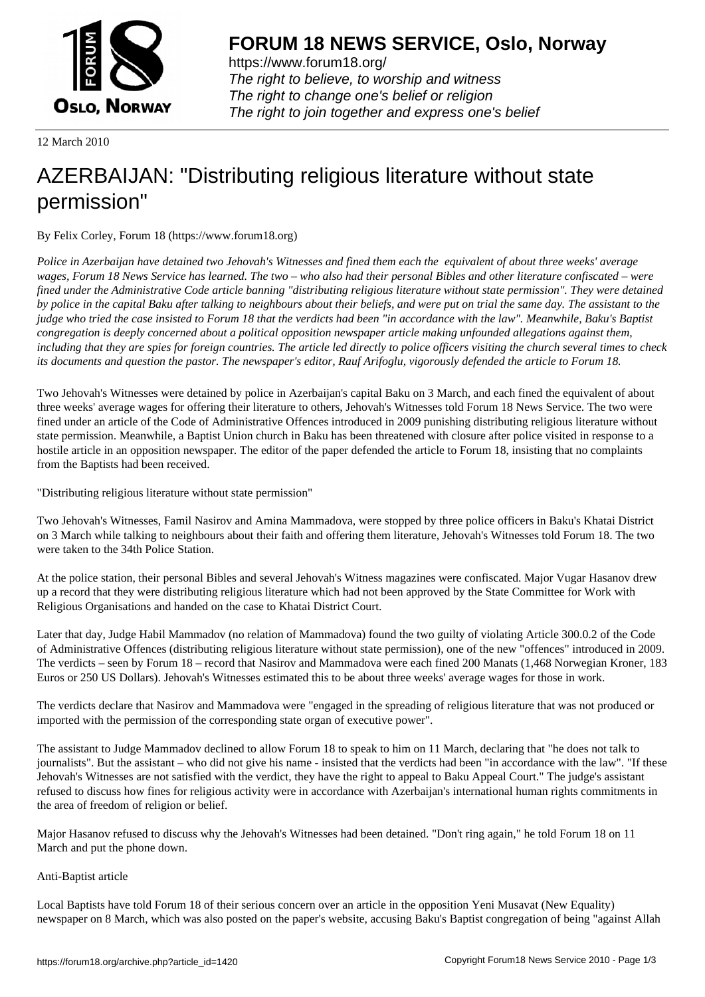

https://www.forum18.org/ The right to believe, to worship and witness The right to change one's belief or religion [The right to join together a](https://www.forum18.org/)nd express one's belief

12 March 2010

## [AZERBAIJAN: "](https://www.forum18.org)Distributing religious literature without state permission"

By Felix Corley, Forum 18 (https://www.forum18.org)

*Police in Azerbaijan have detained two Jehovah's Witnesses and fined them each the equivalent of about three weeks' average wages, Forum 18 News Service has learned. The two – who also had their personal Bibles and other literature confiscated – were fined under the Administrative Code article banning "distributing religious literature without state permission". They were detained by police in the capital Baku after talking to neighbours about their beliefs, and were put on trial the same day. The assistant to the judge who tried the case insisted to Forum 18 that the verdicts had been "in accordance with the law". Meanwhile, Baku's Baptist congregation is deeply concerned about a political opposition newspaper article making unfounded allegations against them, including that they are spies for foreign countries. The article led directly to police officers visiting the church several times to check its documents and question the pastor. The newspaper's editor, Rauf Arifoglu, vigorously defended the article to Forum 18.*

Two Jehovah's Witnesses were detained by police in Azerbaijan's capital Baku on 3 March, and each fined the equivalent of about three weeks' average wages for offering their literature to others, Jehovah's Witnesses told Forum 18 News Service. The two were fined under an article of the Code of Administrative Offences introduced in 2009 punishing distributing religious literature without state permission. Meanwhile, a Baptist Union church in Baku has been threatened with closure after police visited in response to a hostile article in an opposition newspaper. The editor of the paper defended the article to Forum 18, insisting that no complaints from the Baptists had been received.

"Distributing religious literature without state permission"

Two Jehovah's Witnesses, Famil Nasirov and Amina Mammadova, were stopped by three police officers in Baku's Khatai District on 3 March while talking to neighbours about their faith and offering them literature, Jehovah's Witnesses told Forum 18. The two were taken to the 34th Police Station.

At the police station, their personal Bibles and several Jehovah's Witness magazines were confiscated. Major Vugar Hasanov drew up a record that they were distributing religious literature which had not been approved by the State Committee for Work with Religious Organisations and handed on the case to Khatai District Court.

Later that day, Judge Habil Mammadov (no relation of Mammadova) found the two guilty of violating Article 300.0.2 of the Code of Administrative Offences (distributing religious literature without state permission), one of the new "offences" introduced in 2009. The verdicts – seen by Forum 18 – record that Nasirov and Mammadova were each fined 200 Manats (1,468 Norwegian Kroner, 183 Euros or 250 US Dollars). Jehovah's Witnesses estimated this to be about three weeks' average wages for those in work.

The verdicts declare that Nasirov and Mammadova were "engaged in the spreading of religious literature that was not produced or imported with the permission of the corresponding state organ of executive power".

The assistant to Judge Mammadov declined to allow Forum 18 to speak to him on 11 March, declaring that "he does not talk to journalists". But the assistant – who did not give his name - insisted that the verdicts had been "in accordance with the law". "If these Jehovah's Witnesses are not satisfied with the verdict, they have the right to appeal to Baku Appeal Court." The judge's assistant refused to discuss how fines for religious activity were in accordance with Azerbaijan's international human rights commitments in the area of freedom of religion or belief.

Major Hasanov refused to discuss why the Jehovah's Witnesses had been detained. "Don't ring again," he told Forum 18 on 11 March and put the phone down.

## Anti-Baptist article

Local Baptists have told Forum 18 of their serious concern over an article in the opposition Yeni Musavat (New Equality) newspaper on 8 March, which was also posted on the paper's website, accusing Baku's Baptist congregation of being "against Allah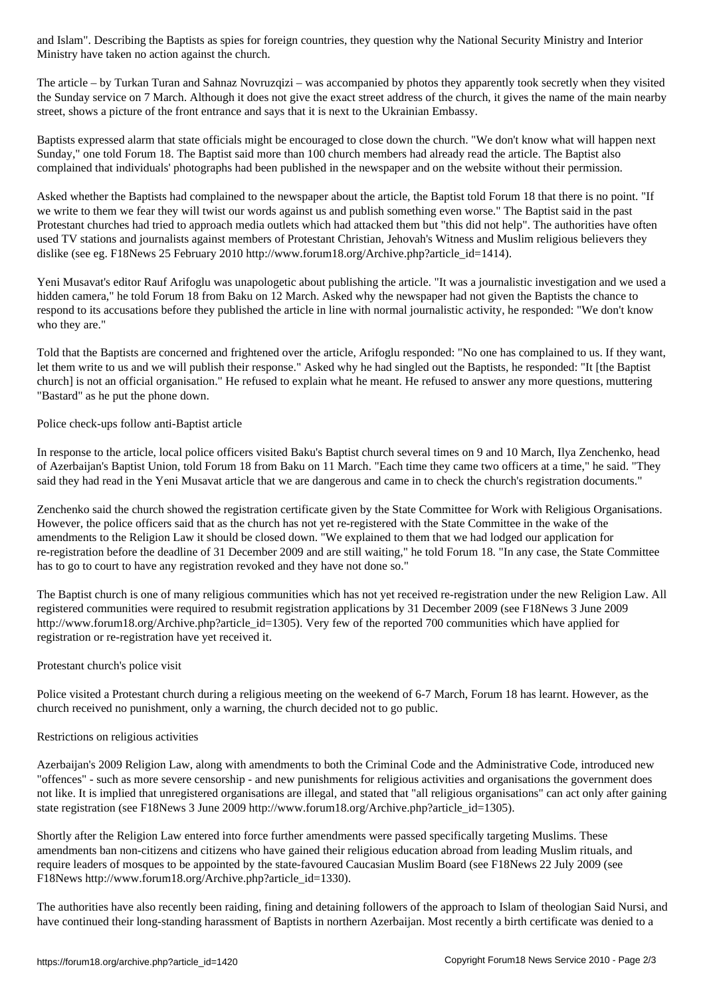Ministry have taken no action against the church.

The article – by Turkan Turan and Sahnaz Novruzqizi – was accompanied by photos they apparently took secretly when they visited the Sunday service on 7 March. Although it does not give the exact street address of the church, it gives the name of the main nearby street, shows a picture of the front entrance and says that it is next to the Ukrainian Embassy.

Baptists expressed alarm that state officials might be encouraged to close down the church. "We don't know what will happen next Sunday," one told Forum 18. The Baptist said more than 100 church members had already read the article. The Baptist also complained that individuals' photographs had been published in the newspaper and on the website without their permission.

Asked whether the Baptists had complained to the newspaper about the article, the Baptist told Forum 18 that there is no point. "If we write to them we fear they will twist our words against us and publish something even worse." The Baptist said in the past Protestant churches had tried to approach media outlets which had attacked them but "this did not help". The authorities have often used TV stations and journalists against members of Protestant Christian, Jehovah's Witness and Muslim religious believers they dislike (see eg. F18News 25 February 2010 http://www.forum18.org/Archive.php?article\_id=1414).

Yeni Musavat's editor Rauf Arifoglu was unapologetic about publishing the article. "It was a journalistic investigation and we used a hidden camera," he told Forum 18 from Baku on 12 March. Asked why the newspaper had not given the Baptists the chance to respond to its accusations before they published the article in line with normal journalistic activity, he responded: "We don't know who they are."

Told that the Baptists are concerned and frightened over the article, Arifoglu responded: "No one has complained to us. If they want, let them write to us and we will publish their response." Asked why he had singled out the Baptists, he responded: "It [the Baptist church] is not an official organisation." He refused to explain what he meant. He refused to answer any more questions, muttering "Bastard" as he put the phone down.

Police check-ups follow anti-Baptist article

In response to the article, local police officers visited Baku's Baptist church several times on 9 and 10 March, Ilya Zenchenko, head of Azerbaijan's Baptist Union, told Forum 18 from Baku on 11 March. "Each time they came two officers at a time," he said. "They said they had read in the Yeni Musavat article that we are dangerous and came in to check the church's registration documents."

Zenchenko said the church showed the registration certificate given by the State Committee for Work with Religious Organisations. However, the police officers said that as the church has not yet re-registered with the State Committee in the wake of the amendments to the Religion Law it should be closed down. "We explained to them that we had lodged our application for re-registration before the deadline of 31 December 2009 and are still waiting," he told Forum 18. "In any case, the State Committee has to go to court to have any registration revoked and they have not done so."

The Baptist church is one of many religious communities which has not yet received re-registration under the new Religion Law. All registered communities were required to resubmit registration applications by 31 December 2009 (see F18News 3 June 2009 http://www.forum18.org/Archive.php?article\_id=1305). Very few of the reported 700 communities which have applied for registration or re-registration have yet received it.

## Protestant church's police visit

Police visited a Protestant church during a religious meeting on the weekend of 6-7 March, Forum 18 has learnt. However, as the church received no punishment, only a warning, the church decided not to go public.

## Restrictions on religious activities

Azerbaijan's 2009 Religion Law, along with amendments to both the Criminal Code and the Administrative Code, introduced new "offences" - such as more severe censorship - and new punishments for religious activities and organisations the government does not like. It is implied that unregistered organisations are illegal, and stated that "all religious organisations" can act only after gaining state registration (see F18News 3 June 2009 http://www.forum18.org/Archive.php?article\_id=1305).

Shortly after the Religion Law entered into force further amendments were passed specifically targeting Muslims. These amendments ban non-citizens and citizens who have gained their religious education abroad from leading Muslim rituals, and require leaders of mosques to be appointed by the state-favoured Caucasian Muslim Board (see F18News 22 July 2009 (see F18News http://www.forum18.org/Archive.php?article\_id=1330).

The authorities have also recently been raiding, fining and detaining followers of the approach to Islam of theologian Said Nursi, and have continued their long-standing harassment of Baptists in northern Azerbaijan. Most recently a birth certificate was denied to a